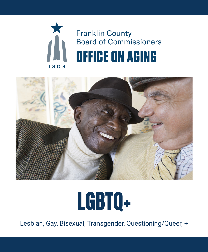



# LGBTQ+

Lesbian, Gay, Bisexual, Transgender, Questioning/Queer, +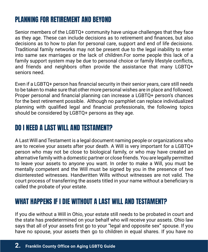# PLANNING FOR RETIREMENT AND BEYOND

Senior members of the LGBTQ+ community have unique challenges that they face as they age. These can include decisions as to retirement and finances, but also decisions as to how to plan for personal care, support and end of life decisions. Traditional family networks may not be present due to the legal inability to enter into same sex marriages or the lack of children.For some people this lack of a family support system may be due to personal choice or family lifestyle conflicts, and friends and neighbors often provide the assistance that many LGBTQ+ seniors need.

Even if a LGBTQ+ person has financial security in their senior years, care still needs to be taken to make sure that other more personal wishes are in place and followed. Proper personal and financial planning can increase a LGBTQ+ person's chances for the best retirement possible. Although no pamphlet can replace individualized planning with qualified legal and financial professionals, the following topics should be considered by LGBTQ+ persons as they age.

# DO I NEED A LAST WILL AND TESTAMENT?

A Last Will and Testament is a legal document naming people or organizations who are to receive your assets after your death. A Will is very important for a LGBTQ+ person who may not be close to biological family, or who may have created an alternative family with a domestic partner or close friends. You are legally permitted to leave your assets to anyone you want. In order to make a Will, you must be mentally competent and the Will must be signed by you in the presence of two disinterested witnesses. Handwritten Wills without witnesses are not valid. The court process of transferring the assets titled in your name without a beneficiary is called the probate of your estate.

# WHAT HAPPENS IF I DIE WITHOUT A LAST WILL AND TESTAMENT?

If you die without a Will in Ohio, your estate still needs to be probated in court and the state has predetermined on your behalf who will receive your assets. Ohio law says that all of your assets first go to your "legal and opposite sex" spouse. If you have no spouse, your assets then go to children in equal shares. If you have no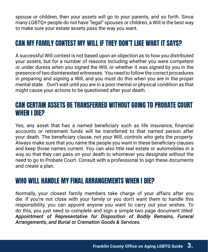spouse or children, then your assets will go to your parents, and so forth. Since many LGBTQ+ people do not have "legal" spouses or children, a Will is the best way to make sure your estate assets pass the way you want.

# CAN MY FAMILY CONTEST MY WILL IF THEY DON'T LIKE WHAT IT SAYS?

A successful Will contest is not based upon an objection as to how you distributed your assets, but for a number of reasons including whether you were competent or under duress when you signed the Will, or whether it was signed by you in the presence of two disinterested witnesses. You need to follow the correct procedures in preparing and signing a Will, and you must do this when you are in the proper mental state. Don't wait until you are in a poor mental or physical condition as that might cause your actions to be questioned after your death.

### CAN CERTAIN ASSETS BE TRANSFERRED WITHOUT GOING TO PROBATE COURT WHEN I DIE?

Yes, any asset that has a named beneficiary such as life insurance, financial accounts or retirement funds will be transferred to that named person after your death. The beneficiary clause, not your Will, controls who gets the property. Always make sure that you name the people you want in these beneficiary clauses and keep those names current. You can also title real estate or automobiles in a way so that they can pass on your death to whomever you designate without the need to go to Probate Court. Consult with a professional to sign these documents and create a plan.

### WHO WILL HANDLE MY FINAL ARRANGEMENTS WHEN I DIE?

Normally, your closest family members take charge of your affairs after you die. If you're not close with your family or you don't want them to handle this responsibility, you can appoint anyone you want to carry out your wishes. To do this, you just need to complete and sign a simple two page document titled: *Appointment of Representative for Disposition of Bodily Remains, Funeral Arrangements, and Burial or Cremation Goods & Services.*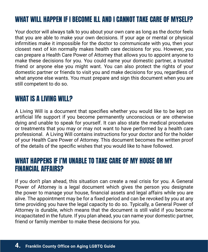# WHAT WILL HAPPEN IF I BECOME ILL AND I CANNOT TAKE CARE OF MYSELF?

Your doctor will always talk to you about your own care as long as the doctor feels that you are able to make your own decisions. If your age or mental or physical infirmities make it impossible for the doctor to communicate with you, then your closest next of kin normally makes health care decisions for you. However, you can prepare a Health Care Power of Attorney that allows you to appoint anyone to make these decisions for you. You could name your domestic partner, a trusted friend or anyone else you might want. You can also protect the rights of your domestic partner or friends to visit you and make decisions for you, regardless of what anyone else wants. You must prepare and sign this document when you are still competent to do so.

### WHAT IS A LIVING WILL?

A Living Will is a document that specifies whether you would like to be kept on artificial life support if you become permanently unconscious or are otherwise dying and unable to speak for yourself. It can also state the medical procedures or treatments that you may or may not want to have performed by a health care professional. A Living Will contains instructions for your doctor and for the holder of your Health Care Power of Attorney. This document becomes the written proof of the details of the specific wishes that you would like to have followed.

### WHAT HAPPENS IF I'M UNABLE TO TAKE CARE OF MY HOUSE OR MY FINANCIAL AFFAIRS?

If you don't plan ahead, this situation can create a real crisis for you. A General Power of Attorney is a legal document which gives the person you designate the power to manage your house, financial assets and legal affairs while you are alive. The appointment may be for a fixed period and can be revoked by you at any time providing you have the legal capacity to do so. Typically, a General Power of Attorney is durable, which means that the document is still valid if you become incapacitated in the future. If you plan ahead, you can name your domestic partner, friend or family member to make these decisions for you.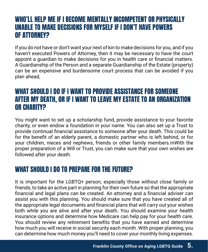### WHO'LL HELP ME IF I BECOME MENTALLY INCOMPETENT OR PHYSICALLY UNABLE TO MAKE DECISIONS FOR MYSELF IF I DON'T HAVE POWERS OF ATTORNEY?

If you do not have or don't want your next of kin to make decisions for you, and if you haven't executed Powers of Attorney, then it may be necessary to have the court appoint a guardian to make decisions for you in health care or financial matters. A Guardianship of the Person and a separate Guardianship of the Estate (property) can be an expensive and burdensome court process that can be avoided if you plan ahead,

### WHAT SHOULD I DO IF I WANT TO PROVIDE ASSISTANCE FOR SOMEONE AFTER MY DEATH, OR IF I WANT TO LEAVE MY ESTATE TO AN ORGANIZATION OR CHARITY?

You might want to set up a scholarship fund, provide assistance to your favorite charity, or even endow a foundation in your name. You can also set up a Trust to provide continual financial assistance to someone after your death. This could be for the benefit of an elderly parent, a domestic partner who is left behind, or for your children, nieces and nephews, friends or other family members.mWith the proper preparation of a Will or Trust, you can make sure that your own wishes are followed after your death.

# WHAT SHOULD I DO TO PREPARE FOR THE FUTURE?

It is important for the LGBTQ+ person, especially those without close family or friends, to take an active part in planning for their own future so that the appropriate financial and legal plans can be created. An attorney and a financial adviser can assist you with this planning. You should make sure that you have created all of the appropriate legal documents and financial plans that will carry out your wishes both while you are alive and after your death. You should examine your health insurance options and determine how Medicare can help pay for your health care. You should review any retirement benefits that you have earned and determine how much you will receive in social security each month. With proper planning, you can determine how much money you'll need to cover your monthly living expenses.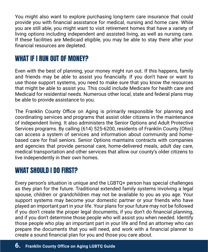You might also want to explore purchasing long-term care insurance that could provide you with financial assistance for medical, nursing and home care. While you are still able, you might want to visit retirement homes that have a variety of living options including independent and assisted living, as well as nursing care. If these facilities are Medicaid eligible, you may be able to stay there after your financial resources are depleted.

### WHAT IF I RUN OUT OF MONEY?

Even with the best of planning, your money might run out. If this happens, family and friends may be able to assist you financially. If you don't have or want to use those support systems, you need to make sure that you know the resources that might be able to assist you. This could include Medicare for health care and Medicaid for residential needs. Numerous other local, state and federal plans may be able to provide assistance to you.

The Franklin County Office on Aging is primarily responsible for planning and coordinating services and programs that assist older citizens in the maintenance of independent living. It also administers the Senior Options and Adult Protective Services programs. By calling (614) 525-6200, residents of Franklin County (Ohio) can access a system of services and information about community and homebased care for frail seniors. Senior Options maintains contracts with companies and agencies that provide personal care, home-delivered meals, adult day care, medical transportation and other services that allow our county's older citizens to live independently in their own homes.

# WHAT SHOULD I DO FIRST?

Every person's situation is unique and the LGBTQ+ person has special challenges as they plan for the future. Traditional extended family systems involving a legal spouse, children or grandchildren may not be available to you as you age. Your support systems may become your domestic partner or your friends who have played an important part in your life. Your plans for your future may not be followed if you don't create the proper legal documents, if you don't do financial planning, and if you don't determine those people who will assist you when needed. Identify those people who play an important part in your life and find an attorney who can prepare the documents that you will need, and work with a financial planner to create a sound financial plan for you and those you care about.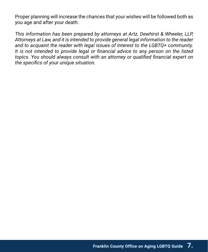Proper planning will increase the chances that your wishes will be followed both as you age and after your death.

*This information has been prepared by attorneys at Artz, Dewhirst & Wheeler, LLP, Attorneys at Law, and it is intended to provide general legal information to the reader and to acquaint the reader with legal issues of interest to the LGBTQ+ community. It is not intended to provide legal or financial advice to any person on the listed topics. You should always consult with an attorney or qualified financial expert on the specifics of your unique situation.*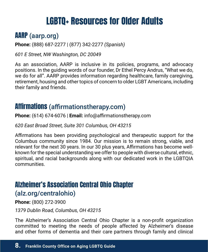# **LGBTQ+ Resources for Older Adults**

# AARP [\(aarp.org\)](http://(aarp.org))

**Phone:** (888) 687-2277 | (877) 342-2277 *(Spanish)*

*601 E Street, NW Washington, DC 20049*

As an association, AARP is inclusive in its policies, programs, and advocacy positions. In the guiding words of our founder, Dr Ethel Percy Andrus, "What we do, we do for all". AARP provides information regarding healthcare, family caregiving, retirement, housing and other topics of concern to older LGBT Americans, including their family and friends.

# Affirmations ([affirmationstherapy.com](http://www.affirmationstherapy.com))

**Phone:** (614) 674-6076 | **Email:** info@affirmationstherapy.com

*620 East Broad Street, Suite 301 Columbus, OH 43215*

Affirmations has been providing psychological and therapeutic support for the Columbus community since 1984. Our mission is to remain strong, viable, and relevant for the next 30 years. In our 30 plus years, Affirmations has become wellknown for the special understanding we offer to people with diverse cultural, ethnic, spiritual, and racial backgrounds along with our dedicated work in the LGBTQIA communities.

# Alzheimer's Association Central Ohio Chapter ([alz.org/centralohio](http://www.alz.org/centralohio))

**Phone:** (800) 272-3900

*1379 Dublin Road, Columbus, OH 43215*

The Alzheimer's Association Central Ohio Chapter is a non-profit organization committed to meeting the needs of people affected by Alzheimer's disease and other forms of dementia and their care partners through family and clinical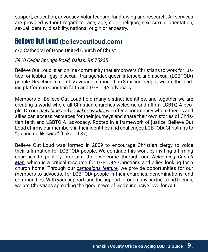support, education, advocacy, volunteerism, fundraising and research. All services are provided without regard to race, age, color, religion, sex, sexual orientation, sexual identity, disability, national origin or ancestry.

### **Believe Out Loud** ([believeoutloud.com](http://www.believeoutloud.com))

c/o Cathedral of Hope United Church of Christ

#### *5910 Cedar Springs Road, Dallas, RX 75235*

Believe Out Loud is an online community that empowers Christians to work for justice for lesbian, gay, bisexual, transgender, queer, intersex, and asexual (LGBTQIA) people. Reaching a monthly average of more than 3 million people, we are the leading platform in Christian faith and LGBTQIA advocacy.

Members of Believe Out Loud hold many distinct identities, and together we are creating a world where all Christian churches welcome and affirm LGBTQIA people. On our *[daily blog](http://www.believeoutloud.com/latest)* and *[social networks](http://www.facebook.com/BelieveOutLoud)*, we offer a community where friends and allies can access resources for their journeys and share their own stories of Christian faith and LGBTQIA advocacy. Rooted in a framework of justice, Believe Out Loud affirms our members in their identities and challenges LGBTQIA Christians to "go and do likewise" (Luke 10:37).

Believe Out Loud was formed in 2009 to encourage Christian clergy to voice their affirmation for LGBTQIA people. We continue this work by inviting affirming churches to publicly proclaim their welcome through our *[Welcoming Church](http://www.believeoutloud.com/take-action/find-your-community) [Map](http://www.believeoutloud.com/take-action/find-your-community)*, which is a critical resource for LGBTQIA Christians and allies looking for a church home. Through our *[campaigns feature](http://www.believeoutloud.com/take-action/campaigns)*, we provide opportunities for our members to advocate for LGBTQIA people in their churches, denominations, and communities. With your support, and the support of our many partners and friends, we are Christians spreading the good news of God's inclusive love for ALL.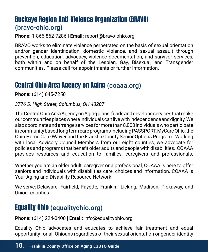# Buckeye Region Anti-Violence Organization (BRAVO) ([bravo-ohio.org](http://www.bravo-ohio.org))

**Phone:** 1-866-862-7286 | **Email:** report@bravo-ohio.org

BRAVO works to eliminate violence perpetrated on the basis of sexual orientation and/or gender identification, domestic violence, and sexual assault through prevention, education, advocacy, violence documentation, and survivor services, both within and on behalf of the Lesbian, Gay, Bisexual, and Transgender communities. Please call for appointments or further information.

# Central Ohio Area Agency on Aging [\(coaaa.org\)](http://(coaaa.org))

**Phone:** (614) 645-7250

#### *3776 S. High Street, Columbus, OH 43207*

The Central Ohio Area Agency on Aging plans, funds and develops services that make our communities places where individuals can live with independence and dignity. We also coordinate and arrange services for more than 8,000 individuals who participate in community based long term care programs including PASSPORT, MyCare Ohio, the Ohio Home Care Waiver and the Franklin County Senior Options Program. Working with local Advisory Council Members from our eight counties, we advocate for policies and programs that benefit older adults and people with disabilities. COAAA provides resources and education to families, caregivers and professionals.

Whether you are an older adult, caregiver or a professional, COAAA is here to offer seniors and individuals with disabilities care, choices and information. COAAA is Your Aging and Disability Resource Network.

We serve: [Delaware](http://www.coaaa.org/cms/index.php/en/resources/county-info),  [Fairfield](http://www.coaaa.org/cms/index.php/en/resources/county-info), [Fayette](http://www.coaaa.org/cms/index.php/en/resources/county-info), [Franklin](http://www.coaaa.org/cms/index.php/en/resources/county-info), [Licking](http://www.coaaa.org/cms/index.php/en/resources/county-info), [Madison](http://www.coaaa.org/cms/index.php/en/resources/county-info), [Pickaway](http://www.coaaa.org/cms/index.php/en/resources/county-info), and [Union](http://www.coaaa.org/cms/index.php/en/resources/county-info) counties.

# Equality Ohio [\(equalityohio.org\)](http://(equalityohio.org))

**Phone:** (614) 224-0400 | **Email:** [info@equalityohio.org](mailto:info@equalityohio.org)

Equality Ohio advocates and educates to achieve fair treatment and equal opportunity for all Ohioans regardless of their sexual orientation or gender identity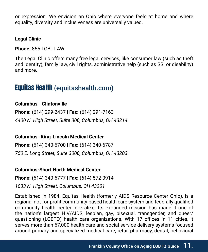or expression. We envision an Ohio where everyone feels at home and where equality, diversity and inclusiveness are universally valued.

#### **Legal Clinic**

**Phone:** 855-LGBT-LAW

The Legal Clinic offers many free legal services, like consumer law (such as theft and identity), family law, civil rights, administrative help (such as SSI or disability) and more.

### Equitas Health ([equitashealth.com](http://www.equitashealth.com))

#### **Columbus - Clintonville**

**Phone:** (614) 299-2437 | **Fax:** (614) 291-7163 *4400 N. High Street, Suite 300, Columbus, OH 43214*

**Columbus- King-Lincoln Medical Center**

**Phone:** (614) 340-6700 | **Fax:** (614) 340-6787 *750 E. Long Street, Suite 3000, Columbus, OH 43203*

#### **Columbus-Short North Medical Center**

**Phone:** (614) 340-6777 | **Fax:** (614) 572-0914

*1033 N. High Street, Columbus, OH 43201*

Established in 1984, Equitas Health (formerly AIDS Resource Center Ohio), is a regional not-for-profit community-based health care system and federally qualified community health center look-alike. Its expanded mission has made it one of the nation's largest HIV/AIDS, lesbian, gay, bisexual, transgender, and queer/ questioning (LGBTQ) health care organizations. With 17 offices in 11 cities, it serves more than 67,000 health care and social service delivery systems focused around primary and specialized medical care, retail pharmacy, dental, behavioral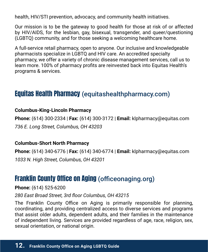health, HIV/STI prevention, advocacy, and community health initiatives.

Our mission is to be the gateway to good health for those at risk of or affected by HIV/AIDS, for the lesbian, gay, bisexual, transgender, and queer/questioning (LGBTQ) community, and for those seeking a welcoming healthcare home.

A full-service retail pharmacy, open to anyone. Our inclusive and knowledgeable pharmacists specialize in LGBTQ and HIV care. An accredited specialty pharmacy, we offer a variety of chronic disease management services, call us to learn more. 100% of pharmacy profits are reinvested back into Equitas Health's programs & services.

# Equitas Health Pharmacy ([equitashealthpharmacy.com](http://www.pharmacycolumbusoh.com))

#### **Columbus-King-Lincoln Pharmacy**

**Phone:** (614) 300-2334 | **Fax:** (614) 300-3172 | **Email:** [klpharmacy@equitas.com](mailto:klpharmacy@equitas.com) *736 E. Long Street, Columbus, OH 43203*

#### **Columbus-Short North Pharmacy**

**Phone:** (614) 340-6776 | **Fax:** (614) 340-6774 | **Email:** [klpharmacy@equitas.com](mailto:klpharmacy@equitas.com) *1033 N. High Street, Columbus, OH 43201*

### Franklin County Office on Aging ([officeonaging.org](http://www.officeonaging.org))

**Phone:** (614) 525-6200

*280 East Broad Street, 3rd floor Columbus, OH 43215*

The Franklin County Office on Aging is primarily responsible for planning, coordinating, and providing centralized access to diverse services and programs that assist older adults, dependent adults, and their families in the maintenance of independent living. Services are provided regardless of age, race, religion, sex, sexual orientation, or national origin.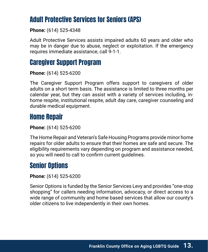# Adult Protective Services for Seniors (APS)

**Phone:** (614) 525-4348

Adult Protective Services assists impaired adults 60 years and older who may be in danger due to abuse, neglect or exploitation. If the emergency requires immediate assistance, call 9-1-1.

# Caregiver Support Program

**Phone:** (614) 525-6200

The Caregiver Support Program offers support to caregivers of older adults on a short term basis. The assistance is limited to three months per calendar year, but they can assist with a variety of services including, inhome respite, institutional respite, adult day care, caregiver counseling and durable medical equipment.

# Home Repair

**Phone:** (614) 525-6200

The Home Repair and Veteran's Safe Housing Programs provide minor home repairs for older adults to ensure that their homes are safe and secure. The eligibility requirements vary depending on program and assistance needed, so you will need to call to confirm current guidelines.

# Senior Options

**Phone:** (614) 525-6200

Senior Options is funded by the Senior Services Levy and provides "one-stop shopping" for callers needing information, advocacy, or direct access to a wide range of community and home based services that allow our county's older citizens to live independently in their own homes.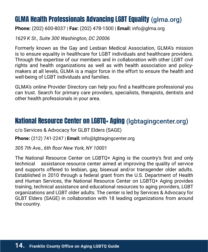# GLMA Health Professionals Advancing LGBT Equality [\(glma.org\)](http://(glma.org))

**Phone:** (202) 600-8037 | **Fax:** (202) 478-1500 | **Email:** info@glma.org

*1629 K St., Suite 300 Washington, DC 20006*

Formerly known as the Gay and Lesbian Medical Association, GLMA's mission is to ensure equality in healthcare for LGBT individuals and healthcare providers. Through the expertise of our members and in collaboration with other LGBT civil rights and health organizations as well as with health association and policymakers at all levels, GLMA is a major force in the effort to ensure the health and well-being of LGBT individuals and families.

GLMA's online Provider Directory can help you find a healthcare professional you can trust. Search for primary care providers, specialists, therapists, dentists and other health professionals in your area.

### National Resource Center on LGBTQ+ Aging [\(lgbtagingcenter.org\)](http://(lgbtagingcenter.org))

c/o Services & Advocacy for GLBT Elders (SAGE)

**Phone:** (212) 741-2247 | **Email:** info[@lgbtagingcenter.org](http://www.lgbtagingcenter.org)

*305 7th Ave., 6th floor New York, NY 10001*

The National Resource Center on LGBTQ+ Aging is the country's first and only technical assistance resource center aimed at improving the quality of service and supports offered to lesbian, gay, bisexual and/or transgender older adults. Established in 2010 through a federal grant from the U.S. Department of Health and Human Services, the National Resource Center on LGBTQ+ Aging provides training, technical assistance and educational resources to aging providers, LGBT organizations and LGBT older adults. The center is led by Services & Advocacy for GLBT Elders (SAGE) in collaboration with 18 leading organizations from around the country.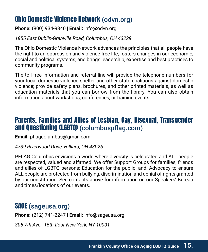# Ohio Domestic Violence Network ([odvn.org](http://www.odvn.org))

**Phone:** (800) 934-9840 | **Email:** [info@odvn.org](mailto:info@odvn.org)

*1855 East Dublin-Granville Road, Columbus, OH 43229*

The Ohio Domestic Violence Network advances the principles that all people have the right to an oppression and violence free life; fosters changes in our economic, social and political systems; and brings leadership, expertise and best practices to community programs.

The toll-free information and referral line will provide the telephone numbers for your local domestic violence shelter and other state coalitions against domestic violence; provide safety plans, brochures, and other printed materials, as well as education materials that you can borrow from the library. You can also obtain information about workshops, conferences, or training events.

### Parents, Families and Allies of Lesbian, Gay, Bisexual, Transgender and Questioning (LGBTQ) ([columbuspflag.](http://www.columbuspflag.org)com)

**Email:** [pflagcolumbus@gmail.com](mailto:pflagcolumbus@gmail.com)

*4739 Riverwood Drive, Hilliard, OH 43026*

PFLAG Columbus envisions a world where diversity is celebrated and ALL people are respected, valued and affirmed. We offer Support Groups for families, friends and allies of LGBTQ persons; Education for the public; and, Advocacy to ensure ALL people are protected from bullying, discrimination and denial of rights granted by our constitution. See contacts above for information on our Speakers' Bureau and times/locations of our events.

# SAGE [\(sageusa.org\)](http://(sageusa.org))

**Phone:** (212) 741-2247 **| Email:** [info@sageusa.org](mailto:info@sageusa.org)

*305 7th Ave., 15th floor New York, NY 10001*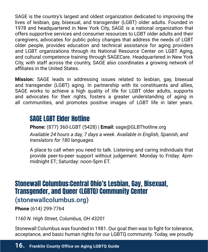SAGE is the country's largest and oldest organization dedicated to improving the lives of lesbian, gay, bisexual, and transgender (LGBT) older adults. Founded in 1978 and headquartered in New York City, SAGE is a national organization that offers supportive services and consumer resources to LGBT older adults and their caregivers, advocates for public policy changes that address the needs of LGBT older people, provides education and technical assistance for aging providers and LGBT organizations through its National Resource Center on LGBT Aging, and cultural competence training through SAGECare. Headquartered in New York City, with staff across the country, SAGE also coordinates a growing network of affiliates in the United States.

**Mission:** SAGE leads in addressing issues related to lesbian, gay, bisexual and transgender (LGBT) aging. In partnership with its constituents and allies, SAGE works to achieve a high quality of life for LGBT older adults, supports and advocates for their rights, fosters a greater understanding of aging in all communities, and promotes positive images of LGBT life in later years.

### SAGE LGBT Elder Hotline

**Phone:** (877) 360-LGBT (5428) | **Email:** [sage@GLBThotline.org](mailto:sage@GLBThotline.org)

*Available 24 hours a day, 7 days a week. Available in English, Spanish, and translators for 180 languages.* 

A place to call when you need to talk. Listening and caring individuals that provide peer-to-peer support without judgement. Monday to Friday: 4pmmidnight ET; Saturday: noon-5pm ET.

### Stonewall Columbus:Central Ohio's Lesbian, Gay, Bisexual, Transgender, and Queer (LGBTQ) Community Center

### ([stonewallcolumbus.org](http://www.stonewallcolumbus.org))

**Phone** (614) 299-7764

*1160 N. High Street, Columbus, OH 43201*

Stonewall Columbus was founded in 1981. Our goal then was to fight for tolerance, acceptance, and basic human rights for our LGBTQ community. Today, we proudly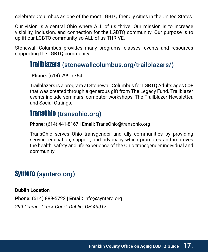celebrate Columbus as one of the most LGBTQ friendly cities in the United States.

Our vision is a central Ohio where ALL of us thrive. Our mission is to increase visibility, inclusion, and connection for the LGBTQ community. Our purpose is to uplift our LGBTQ community so ALL of us THRIVE.

Stonewall Columbus provides many programs, classes, events and resources supporting the LGBTQ community.

### Trailblazers ([stonewallcolumbus.org/trailblazers/\)](http://(stonewallcolumbus.org/trailblazers/))

**Phone:** (614) 299-7764

Trailblazers is a program at Stonewall Columbus for LGBTQ Adults ages 50+ that was created through a generous gift from The Legacy Fund. Trailblazer events include seminars, computer workshops, The Trailblazer Newsletter, and Social Outings.

### TransOhio ([transohio.org](http://www.transohio.org))

**Phone:** (614) 441-8167 | **Email:** [TransOhio@t](mailto:TransOhio@gmail.com)ransohio.org

TransOhio serves Ohio transgender and ally communities by providing service, education, support, and advocacy which promotes and improves the health, safety and life experience of the Ohio transgender individual and community.

### Syntero ([syntero.org\)](http://(syntero.org))

**Dublin Location Phone:** (614) 889-5722 | **Email:** info@syntero.org *299 Cramer Creek Court, Dublin, OH 43017*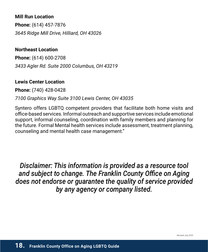#### **Mill Run Location**

**Phone:** (614) 457-7876 *3645 Ridge Mill Drive, Hilliard, OH 43026*

#### **Northeast Location**

**Phone:** (614) 600-2708 *3433 Agler Rd. Suite 2000 Columbus, OH 43219*

#### **Lewis Center Location**

**Phone:** (740) 428-0428

#### *7100 Graphics Way Suite 3100 Lewis Center, OH 43035*

Syntero offers LGBTQ competent providers that facilitate both home visits and office-based services. Informal outreach and supportive services include emotional support, informal counseling, coordination with family members and planning for the future. Formal Mental health services include assessment, treatment planning, counseling and mental health case management."

*Disclaimer: This information is provided as a resource tool and subject to change. The Franklin County Office on Aging does not endorse or guarantee the quality of service provided by any agency or company listed.*